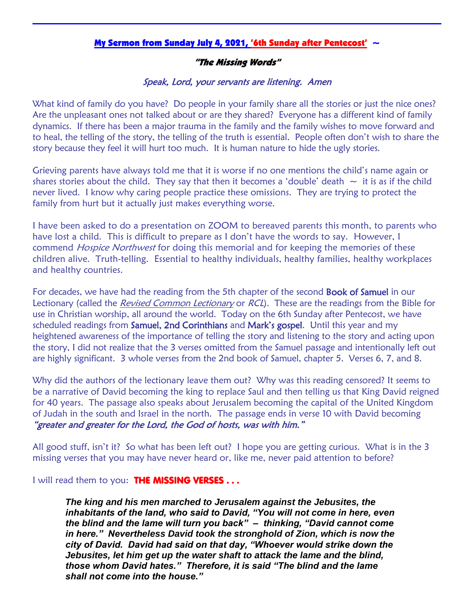## My Sermon from Sunday July 4, 2021, '6th Sunday after Pentecost'  $\sim$

## "The Missing Words"

## Speak, Lord, your servants are listening. Amen

What kind of family do you have? Do people in your family share all the stories or just the nice ones? Are the unpleasant ones not talked about or are they shared? Everyone has a different kind of family dynamics. If there has been a major trauma in the family and the family wishes to move forward and to heal, the telling of the story, the telling of the truth is essential. People often don't wish to share the story because they feel it will hurt too much. It is human nature to hide the ugly stories.

Grieving parents have always told me that it is worse if no one mentions the child's name again or shares stories about the child. They say that then it becomes a 'double' death  $\sim$  it is as if the child never lived. I know why caring people practice these omissions. They are trying to protect the family from hurt but it actually just makes everything worse.

I have been asked to do a presentation on ZOOM to bereaved parents this month, to parents who have lost a child. This is difficult to prepare as I don't have the words to say. However, I commend *Hospice Northwest* for doing this memorial and for keeping the memories of these children alive. Truth-telling. Essential to healthy individuals, healthy families, healthy workplaces and healthy countries.

For decades, we have had the reading from the 5th chapter of the second **Book of Samuel** in our Lectionary (called the *Revised Common Lectionary* or *RCL*). These are the readings from the Bible for use in Christian worship, all around the world. Today on the 6th Sunday after Pentecost, we have scheduled readings from Samuel, 2nd Corinthians and Mark's gospel. Until this year and my heightened awareness of the importance of telling the story and listening to the story and acting upon the story, I did not realize that the 3 verses omitted from the Samuel passage and intentionally left out are highly significant. 3 whole verses from the 2nd book of Samuel, chapter 5. Verses 6, 7, and 8.

Why did the authors of the lectionary leave them out? Why was this reading censored? It seems to be a narrative of David becoming the king to replace Saul and then telling us that King David reigned for 40 years. The passage also speaks about Jerusalem becoming the capital of the United Kingdom of Judah in the south and Israel in the north. The passage ends in verse 10 with David becoming "greater and greater for the Lord, the God of hosts, was with him."

All good stuff, isn't it? So what has been left out? I hope you are getting curious. What is in the 3 missing verses that you may have never heard or, like me, never paid attention to before?

I will read them to you: THE MISSING VERSES . . .

*The king and his men marched to Jerusalem against the Jebusites, the inhabitants of the land, who said to David, "You will not come in here, even the blind and the lame will turn you back" – thinking, "David cannot come in here." Nevertheless David took the stronghold of Zion, which is now the city of David. David had said on that day, "Whoever would strike down the Jebusites, let him get up the water shaft to attack the lame and the blind, those whom David hates." Therefore, it is said "The blind and the lame shall not come into the house."*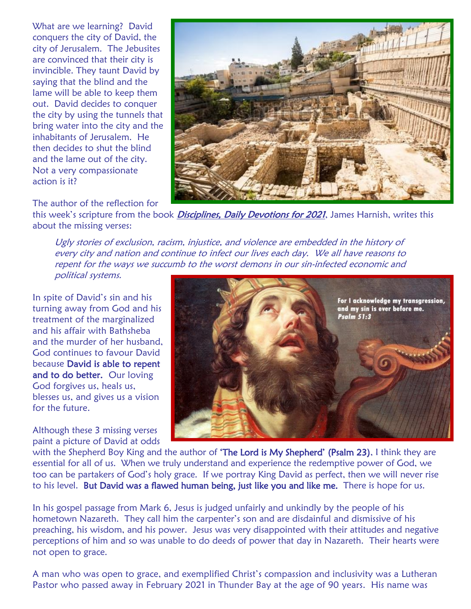What are we learning? David conquers the city of David, the city of Jerusalem. The Jebusites are convinced that their city is invincible. They taunt David by saying that the blind and the lame will be able to keep them out. David decides to conquer the city by using the tunnels that bring water into the city and the inhabitants of Jerusalem. He then decides to shut the blind and the lame out of the city. Not a very compassionate action is it?

The author of the reflection for



this week's scripture from the book *Disciplines, Daily Devotions for 2021*, James Harnish, writes this about the missing verses:

Ugly stories of exclusion, racism, injustice, and violence are embedded in the history of every city and nation and continue to infect our lives each day. We all have reasons to repent for the ways we succumb to the worst demons in our sin-infected economic and political systems.

In spite of David's sin and his turning away from God and his treatment of the marginalized and his affair with Bathsheba and the murder of her husband, God continues to favour David because David is able to repent and to do better. Our loving God forgives us, heals us, blesses us, and gives us a vision for the future.

Although these 3 missing verses paint a picture of David at odds



with the Shepherd Boy King and the author of 'The Lord is My Shepherd' (Psalm 23), I think they are essential for all of us. When we truly understand and experience the redemptive power of God, we too can be partakers of God's holy grace. If we portray King David as perfect, then we will never rise to his level. But David was a flawed human being, just like you and like me. There is hope for us.

In his gospel passage from Mark 6, Jesus is judged unfairly and unkindly by the people of his hometown Nazareth. They call him the carpenter's son and are disdainful and dismissive of his preaching, his wisdom, and his power. Jesus was very disappointed with their attitudes and negative perceptions of him and so was unable to do deeds of power that day in Nazareth. Their hearts were not open to grace.

A man who was open to grace, and exemplified Christ's compassion and inclusivity was a Lutheran Pastor who passed away in February 2021 in Thunder Bay at the age of 90 years. His name was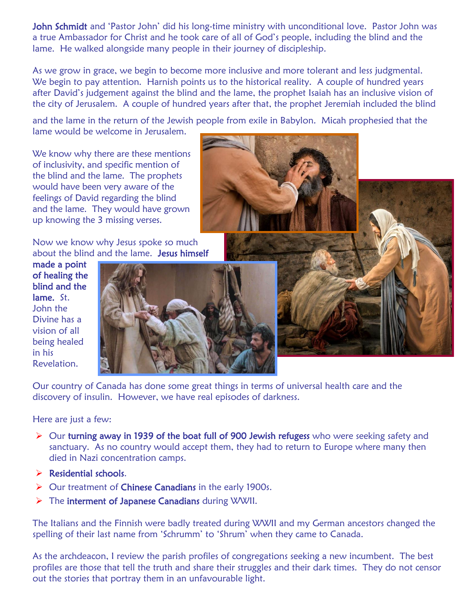John Schmidt and 'Pastor John' did his long-time ministry with unconditional love. Pastor John was a true Ambassador for Christ and he took care of all of God's people, including the blind and the lame. He walked alongside many people in their journey of discipleship.

As we grow in grace, we begin to become more inclusive and more tolerant and less judgmental. We begin to pay attention. Harnish points us to the historical reality. A couple of hundred years after David's judgement against the blind and the lame, the prophet Isaiah has an inclusive vision of the city of Jerusalem. A couple of hundred years after that, the prophet Jeremiah included the blind

and the lame in the return of the Jewish people from exile in Babylon. Micah prophesied that the lame would be welcome in Jerusalem.

We know why there are these mentions of inclusivity, and specific mention of the blind and the lame. The prophets would have been very aware of the feelings of David regarding the blind and the lame. They would have grown up knowing the 3 missing verses.

Now we know why Jesus spoke so much about the blind and the lame. Jesus himself

made a point of healing the blind and the lame. St. John the Divine has a vision of all being healed in his Revelation.



Our country of Canada has done some great things in terms of universal health care and the discovery of insulin. However, we have real episodes of darkness.

## Here are just a few:

- $\triangleright$  Our turning away in 1939 of the boat full of 900 Jewish refugess who were seeking safety and sanctuary. As no country would accept them, they had to return to Europe where many then died in Nazi concentration camps.
- $\triangleright$  Residential schools.
- ▶ Our treatment of Chinese Canadians in the early 1900s.
- $\triangleright$  The interment of Japanese Canadians during WWII.

The Italians and the Finnish were badly treated during WWII and my German ancestors changed the spelling of their last name from 'Schrumm' to 'Shrum' when they came to Canada.

As the archdeacon, I review the parish profiles of congregations seeking a new incumbent. The best profiles are those that tell the truth and share their struggles and their dark times. They do not censor out the stories that portray them in an unfavourable light.